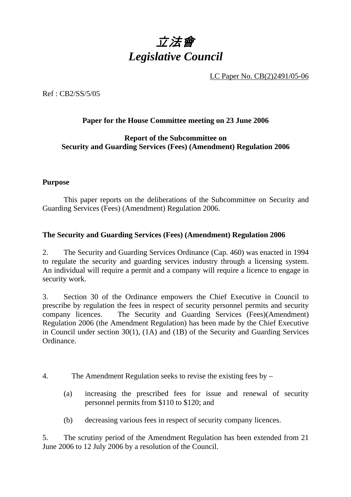

LC Paper No. CB(2)2491/05-06

Ref : CB2/SS/5/05

#### **Paper for the House Committee meeting on 23 June 2006**

#### **Report of the Subcommittee on Security and Guarding Services (Fees) (Amendment) Regulation 2006**

#### **Purpose**

1 This paper reports on the deliberations of the Subcommittee on Security and Guarding Services (Fees) (Amendment) Regulation 2006.

#### **The Security and Guarding Services (Fees) (Amendment) Regulation 2006**

2. The Security and Guarding Services Ordinance (Cap. 460) was enacted in 1994 to regulate the security and guarding services industry through a licensing system. An individual will require a permit and a company will require a licence to engage in security work.

3. Section 30 of the Ordinance empowers the Chief Executive in Council to prescribe by regulation the fees in respect of security personnel permits and security company licences. The Security and Guarding Services (Fees)(Amendment) Regulation 2006 (the Amendment Regulation) has been made by the Chief Executive in Council under section 30(1), (1A) and (1B) of the Security and Guarding Services Ordinance.

- 4. The Amendment Regulation seeks to revise the existing fees by
	- (a) increasing the prescribed fees for issue and renewal of security personnel permits from \$110 to \$120; and
	- (b) decreasing various fees in respect of security company licences.

5. The scrutiny period of the Amendment Regulation has been extended from 21 June 2006 to 12 July 2006 by a resolution of the Council.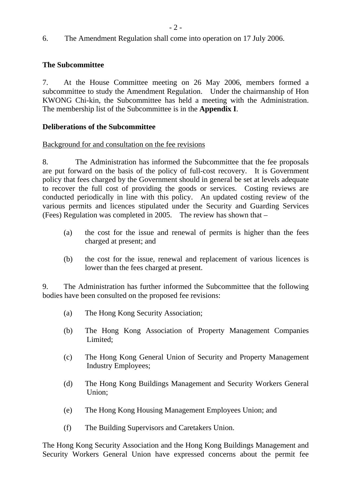6. The Amendment Regulation shall come into operation on 17 July 2006.

#### **The Subcommittee**

7. At the House Committee meeting on 26 May 2006, members formed a subcommittee to study the Amendment Regulation. Under the chairmanship of Hon KWONG Chi-kin, the Subcommittee has held a meeting with the Administration. The membership list of the Subcommittee is in the **Appendix I**.

#### **Deliberations of the Subcommittee**

#### Background for and consultation on the fee revisions

8. The Administration has informed the Subcommittee that the fee proposals are put forward on the basis of the policy of full-cost recovery. It is Government policy that fees charged by the Government should in general be set at levels adequate to recover the full cost of providing the goods or services. Costing reviews are conducted periodically in line with this policy. An updated costing review of the various permits and licences stipulated under the Security and Guarding Services (Fees) Regulation was completed in 2005. The review has shown that –

- (a) the cost for the issue and renewal of permits is higher than the fees charged at present; and
- (b) the cost for the issue, renewal and replacement of various licences is lower than the fees charged at present.

9. The Administration has further informed the Subcommittee that the following bodies have been consulted on the proposed fee revisions:

- (a) The Hong Kong Security Association;
- (b) The Hong Kong Association of Property Management Companies Limited;
- (c) The Hong Kong General Union of Security and Property Management Industry Employees;
- (d) The Hong Kong Buildings Management and Security Workers General Union;
- (e) The Hong Kong Housing Management Employees Union; and
- (f) The Building Supervisors and Caretakers Union.

The Hong Kong Security Association and the Hong Kong Buildings Management and Security Workers General Union have expressed concerns about the permit fee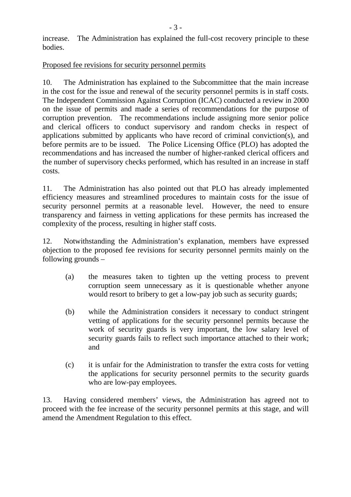increase. The Administration has explained the full-cost recovery principle to these bodies.

#### Proposed fee revisions for security personnel permits

10. The Administration has explained to the Subcommittee that the main increase in the cost for the issue and renewal of the security personnel permits is in staff costs. The Independent Commission Against Corruption (ICAC) conducted a review in 2000 on the issue of permits and made a series of recommendations for the purpose of corruption prevention. The recommendations include assigning more senior police and clerical officers to conduct supervisory and random checks in respect of applications submitted by applicants who have record of criminal conviction(s), and before permits are to be issued. The Police Licensing Office (PLO) has adopted the recommendations and has increased the number of higher-ranked clerical officers and the number of supervisory checks performed, which has resulted in an increase in staff costs.

11. The Administration has also pointed out that PLO has already implemented efficiency measures and streamlined procedures to maintain costs for the issue of security personnel permits at a reasonable level. However, the need to ensure transparency and fairness in vetting applications for these permits has increased the complexity of the process, resulting in higher staff costs.

12. Notwithstanding the Administration's explanation, members have expressed objection to the proposed fee revisions for security personnel permits mainly on the following grounds –

- (a) the measures taken to tighten up the vetting process to prevent corruption seem unnecessary as it is questionable whether anyone would resort to bribery to get a low-pay job such as security guards;
- (b) while the Administration considers it necessary to conduct stringent vetting of applications for the security personnel permits because the work of security guards is very important, the low salary level of security guards fails to reflect such importance attached to their work; and
- (c) it is unfair for the Administration to transfer the extra costs for vetting the applications for security personnel permits to the security guards who are low-pay employees.

13. Having considered members' views, the Administration has agreed not to proceed with the fee increase of the security personnel permits at this stage, and will amend the Amendment Regulation to this effect.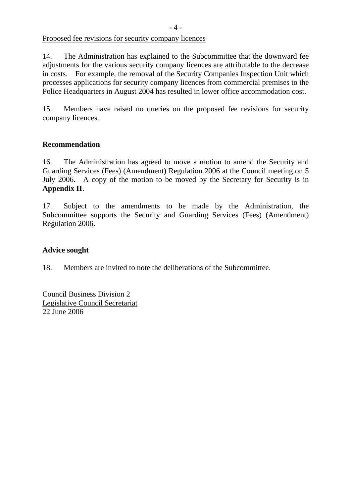Proposed fee revisions for security company licences

14. The Administration has explained to the Subcommittee that the downward fee adjustments for the various security company licences are attributable to the decrease in costs. For example, the removal of the Security Companies Inspection Unit which processes applications for security company licences from commercial premises to the Police Headquarters in August 2004 has resulted in lower office accommodation cost.

15. Members have raised no queries on the proposed fee revisions for security company licences.

#### **Recommendation**

16. The Administration has agreed to move a motion to amend the Security and Guarding Services (Fees) (Amendment) Regulation 2006 at the Council meeting on 5 July 2006. A copy of the motion to be moved by the Secretary for Security is in **Appendix II**.

17. Subject to the amendments to be made by the Administration, the Subcommittee supports the Security and Guarding Services (Fees) (Amendment) Regulation 2006.

#### **Advice sought**

18. Members are invited to note the deliberations of the Subcommittee.

Council Business Division 2 Legislative Council Secretariat 22 June 2006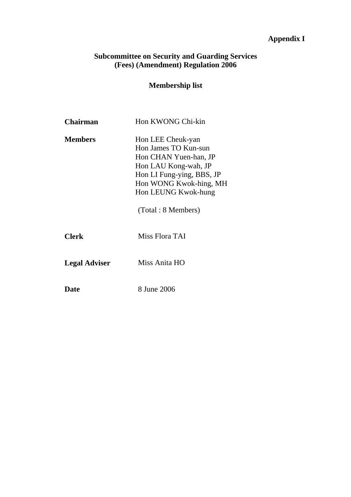# **Appendix I**

#### **Subcommittee on Security and Guarding Services (Fees) (Amendment) Regulation 2006**

## **Membership list**

| <b>Chairman</b>      | Hon KWONG Chi-kin                                                                                                                                                                              |
|----------------------|------------------------------------------------------------------------------------------------------------------------------------------------------------------------------------------------|
| <b>Members</b>       | Hon LEE Cheuk-yan<br>Hon James TO Kun-sun<br>Hon CHAN Yuen-han, JP<br>Hon LAU Kong-wah, JP<br>Hon LI Fung-ying, BBS, JP<br>Hon WONG Kwok-hing, MH<br>Hon LEUNG Kwok-hung<br>(Total: 8 Members) |
| <b>Clerk</b>         | Miss Flora TAI                                                                                                                                                                                 |
| <b>Legal Adviser</b> | Miss Anita HO                                                                                                                                                                                  |
| Date                 | 8 June 2006                                                                                                                                                                                    |